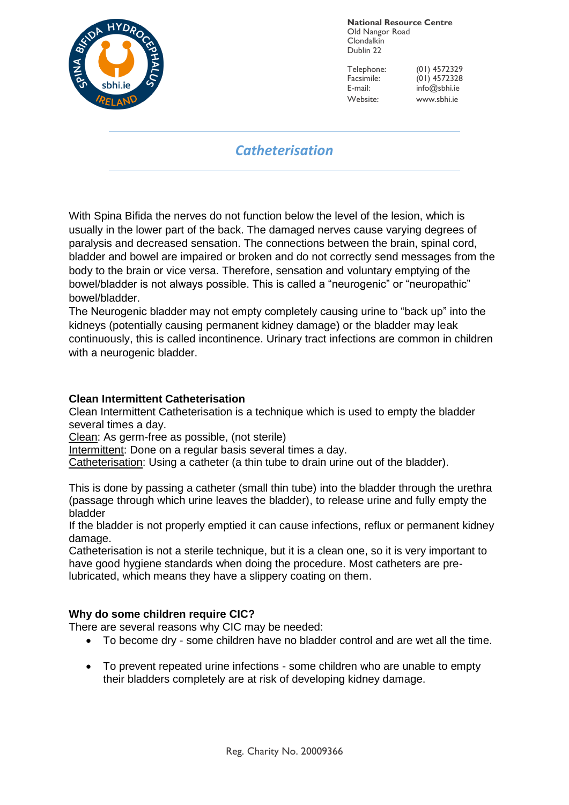

Telephone: (01) 4572329<br>Facsimile: (01) 4572328  $(01)$  4572328 E-mail: info@sbhi.ie Website: www.sbhi.ie

# *Catheterisation*

With Spina Bifida the nerves do not function below the level of the lesion, which is usually in the lower part of the back. The damaged nerves cause varying degrees of paralysis and decreased sensation. The connections between the brain, spinal cord, bladder and bowel are impaired or broken and do not correctly send messages from the body to the brain or vice versa. Therefore, sensation and voluntary emptying of the bowel/bladder is not always possible. This is called a "neurogenic" or "neuropathic" bowel/bladder.

The Neurogenic bladder may not empty completely causing urine to "back up" into the kidneys (potentially causing permanent kidney damage) or the bladder may leak continuously, this is called incontinence. Urinary tract infections are common in children with a neurogenic bladder.

### **Clean Intermittent Catheterisation**

Clean Intermittent Catheterisation is a technique which is used to empty the bladder several times a day.

Clean: As germ-free as possible, (not sterile)

Intermittent: Done on a regular basis several times a day.

Catheterisation: Using a catheter (a thin tube to drain urine out of the bladder).

This is done by passing a catheter (small thin tube) into the bladder through the urethra (passage through which urine leaves the bladder), to release urine and fully empty the bladder

If the bladder is not properly emptied it can cause infections, reflux or permanent kidney damage.

Catheterisation is not a sterile technique, but it is a clean one, so it is very important to have good hygiene standards when doing the procedure. Most catheters are prelubricated, which means they have a slippery coating on them.

### **Why do some children require CIC?**

There are several reasons why CIC may be needed:

- To become dry some children have no bladder control and are wet all the time.
- To prevent repeated urine infections some children who are unable to empty their bladders completely are at risk of developing kidney damage.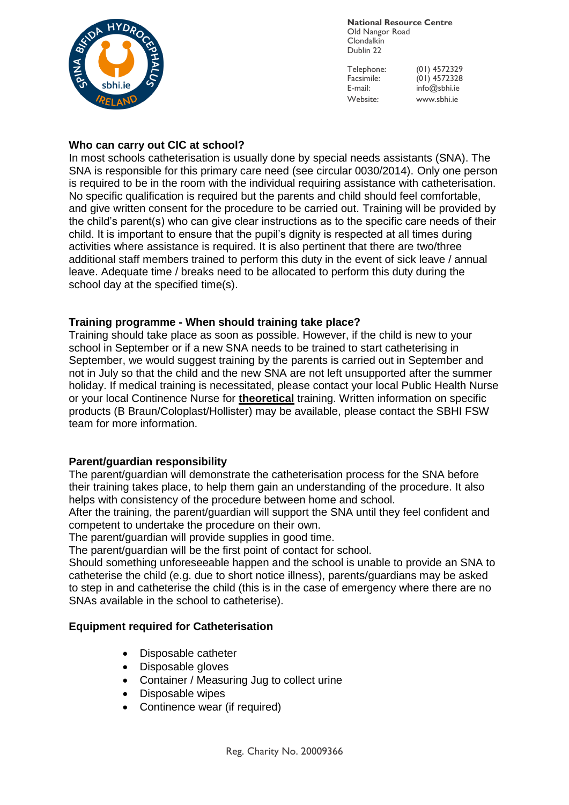

Telephone: (01) 4572329<br>Facsimile: (01) 4572328  $(01)$  4572328 E-mail: info@sbhi.ie Website: www.sbhi.ie

### **Who can carry out CIC at school?**

In most schools catheterisation is usually done by special needs assistants (SNA). The SNA is responsible for this primary care need (see circular 0030/2014). Only one person is required to be in the room with the individual requiring assistance with catheterisation. No specific qualification is required but the parents and child should feel comfortable, and give written consent for the procedure to be carried out. Training will be provided by the child's parent(s) who can give clear instructions as to the specific care needs of their child. It is important to ensure that the pupil's dignity is respected at all times during activities where assistance is required. It is also pertinent that there are two/three additional staff members trained to perform this duty in the event of sick leave / annual leave. Adequate time / breaks need to be allocated to perform this duty during the school day at the specified time(s).

# **Training programme - When should training take place?**

Training should take place as soon as possible. However, if the child is new to your school in September or if a new SNA needs to be trained to start catheterising in September, we would suggest training by the parents is carried out in September and not in July so that the child and the new SNA are not left unsupported after the summer holiday. If medical training is necessitated, please contact your local Public Health Nurse or your local Continence Nurse for **theoretical** training. Written information on specific products (B Braun/Coloplast/Hollister) may be available, please contact the SBHI FSW team for more information.

# **Parent/guardian responsibility**

The parent/guardian will demonstrate the catheterisation process for the SNA before their training takes place, to help them gain an understanding of the procedure. It also helps with consistency of the procedure between home and school.

After the training, the parent/guardian will support the SNA until they feel confident and competent to undertake the procedure on their own.

The parent/guardian will provide supplies in good time.

The parent/guardian will be the first point of contact for school.

Should something unforeseeable happen and the school is unable to provide an SNA to catheterise the child (e.g. due to short notice illness), parents/guardians may be asked to step in and catheterise the child (this is in the case of emergency where there are no SNAs available in the school to catheterise).

### **Equipment required for Catheterisation**

- Disposable catheter
- Disposable gloves
- Container / Measuring Jug to collect urine
- Disposable wipes
- Continence wear (if required)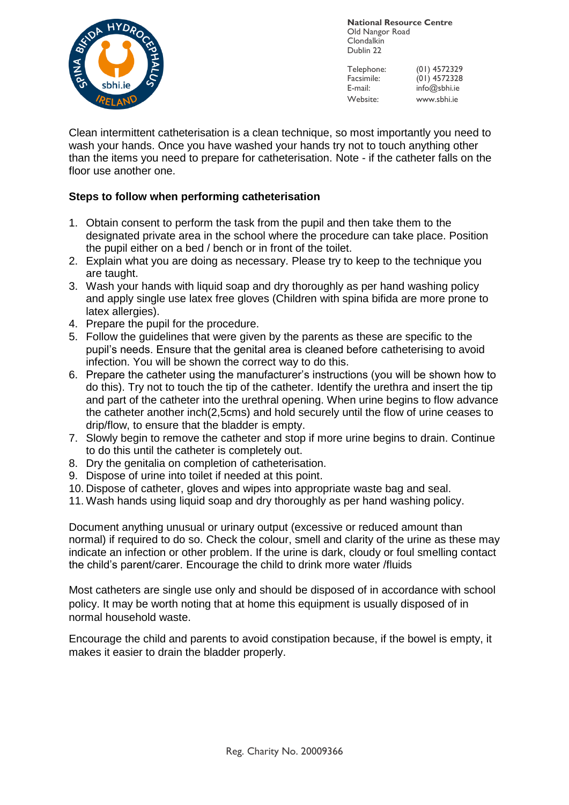

Telephone: (01) 4572329<br>Facsimile: (01) 4572328  $(01)$  4572328 E-mail: info@sbhi.ie Website: www.sbhi.ie

Clean intermittent catheterisation is a clean technique, so most importantly you need to wash your hands. Once you have washed your hands try not to touch anything other than the items you need to prepare for catheterisation. Note - if the catheter falls on the floor use another one.

### **Steps to follow when performing catheterisation**

- 1. Obtain consent to perform the task from the pupil and then take them to the designated private area in the school where the procedure can take place. Position the pupil either on a bed / bench or in front of the toilet.
- 2. Explain what you are doing as necessary. Please try to keep to the technique you are taught.
- 3. Wash your hands with liquid soap and dry thoroughly as per hand washing policy and apply single use latex free gloves (Children with spina bifida are more prone to latex allergies).
- 4. Prepare the pupil for the procedure.
- 5. Follow the guidelines that were given by the parents as these are specific to the pupil's needs. Ensure that the genital area is cleaned before catheterising to avoid infection. You will be shown the correct way to do this.
- 6. Prepare the catheter using the manufacturer's instructions (you will be shown how to do this). Try not to touch the tip of the catheter. Identify the urethra and insert the tip and part of the catheter into the urethral opening. When urine begins to flow advance the catheter another inch(2,5cms) and hold securely until the flow of urine ceases to drip/flow, to ensure that the bladder is empty.
- 7. Slowly begin to remove the catheter and stop if more urine begins to drain. Continue to do this until the catheter is completely out.
- 8. Dry the genitalia on completion of catheterisation.
- 9. Dispose of urine into toilet if needed at this point.
- 10. Dispose of catheter, gloves and wipes into appropriate waste bag and seal.
- 11. Wash hands using liquid soap and dry thoroughly as per hand washing policy.

Document anything unusual or urinary output (excessive or reduced amount than normal) if required to do so. Check the colour, smell and clarity of the urine as these may indicate an infection or other problem. If the urine is dark, cloudy or foul smelling contact the child's parent/carer. Encourage the child to drink more water /fluids

Most catheters are single use only and should be disposed of in accordance with school policy. It may be worth noting that at home this equipment is usually disposed of in normal household waste.

Encourage the child and parents to avoid constipation because, if the bowel is empty, it makes it easier to drain the bladder properly.